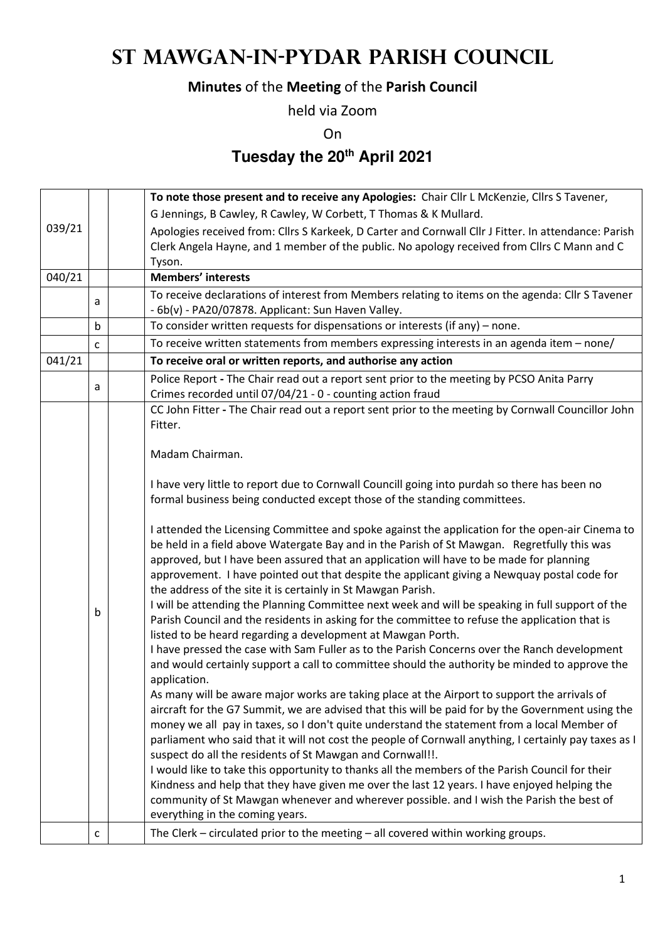## **St Mawgan-in-Pydar Parish Council**

## **Minutes** of the **Meeting** of the **Parish Council**

held via Zoom

On

**Tuesday the 20th April 2021** 

|        |                                                                                                                                                                                                     |  | To note those present and to receive any Apologies: Chair Cllr L McKenzie, Cllrs S Tavener,                                                                                                                                                                                                                                                                                                                                                              |  |  |  |
|--------|-----------------------------------------------------------------------------------------------------------------------------------------------------------------------------------------------------|--|----------------------------------------------------------------------------------------------------------------------------------------------------------------------------------------------------------------------------------------------------------------------------------------------------------------------------------------------------------------------------------------------------------------------------------------------------------|--|--|--|
|        |                                                                                                                                                                                                     |  | G Jennings, B Cawley, R Cawley, W Corbett, T Thomas & K Mullard.                                                                                                                                                                                                                                                                                                                                                                                         |  |  |  |
| 039/21 | Apologies received from: Cllrs S Karkeek, D Carter and Cornwall Cllr J Fitter. In attendance: Parish<br>Clerk Angela Hayne, and 1 member of the public. No apology received from Cllrs C Mann and C |  |                                                                                                                                                                                                                                                                                                                                                                                                                                                          |  |  |  |
| 040/21 |                                                                                                                                                                                                     |  | Tyson.<br><b>Members' interests</b>                                                                                                                                                                                                                                                                                                                                                                                                                      |  |  |  |
|        |                                                                                                                                                                                                     |  | To receive declarations of interest from Members relating to items on the agenda: Cllr S Tavener                                                                                                                                                                                                                                                                                                                                                         |  |  |  |
|        | a                                                                                                                                                                                                   |  | - 6b(v) - PA20/07878. Applicant: Sun Haven Valley.                                                                                                                                                                                                                                                                                                                                                                                                       |  |  |  |
|        | b                                                                                                                                                                                                   |  | To consider written requests for dispensations or interests (if any) - none.                                                                                                                                                                                                                                                                                                                                                                             |  |  |  |
|        | c                                                                                                                                                                                                   |  | To receive written statements from members expressing interests in an agenda item - none/                                                                                                                                                                                                                                                                                                                                                                |  |  |  |
| 041/21 |                                                                                                                                                                                                     |  | To receive oral or written reports, and authorise any action                                                                                                                                                                                                                                                                                                                                                                                             |  |  |  |
|        | a                                                                                                                                                                                                   |  | Police Report - The Chair read out a report sent prior to the meeting by PCSO Anita Parry<br>Crimes recorded until 07/04/21 - 0 - counting action fraud                                                                                                                                                                                                                                                                                                  |  |  |  |
|        |                                                                                                                                                                                                     |  | CC John Fitter - The Chair read out a report sent prior to the meeting by Cornwall Councillor John<br>Fitter.                                                                                                                                                                                                                                                                                                                                            |  |  |  |
|        |                                                                                                                                                                                                     |  | Madam Chairman.                                                                                                                                                                                                                                                                                                                                                                                                                                          |  |  |  |
|        |                                                                                                                                                                                                     |  | I have very little to report due to Cornwall Councill going into purdah so there has been no<br>formal business being conducted except those of the standing committees.                                                                                                                                                                                                                                                                                 |  |  |  |
|        |                                                                                                                                                                                                     |  | I attended the Licensing Committee and spoke against the application for the open-air Cinema to<br>be held in a field above Watergate Bay and in the Parish of St Mawgan. Regretfully this was<br>approved, but I have been assured that an application will have to be made for planning<br>approvement. I have pointed out that despite the applicant giving a Newquay postal code for<br>the address of the site it is certainly in St Mawgan Parish. |  |  |  |
|        | b                                                                                                                                                                                                   |  | I will be attending the Planning Committee next week and will be speaking in full support of the<br>Parish Council and the residents in asking for the committee to refuse the application that is<br>listed to be heard regarding a development at Mawgan Porth.                                                                                                                                                                                        |  |  |  |
|        |                                                                                                                                                                                                     |  | I have pressed the case with Sam Fuller as to the Parish Concerns over the Ranch development<br>and would certainly support a call to committee should the authority be minded to approve the<br>application.                                                                                                                                                                                                                                            |  |  |  |
|        |                                                                                                                                                                                                     |  | As many will be aware major works are taking place at the Airport to support the arrivals of<br>aircraft for the G7 Summit, we are advised that this will be paid for by the Government using the<br>money we all pay in taxes, so I don't quite understand the statement from a local Member of                                                                                                                                                         |  |  |  |
|        |                                                                                                                                                                                                     |  | parliament who said that it will not cost the people of Cornwall anything, I certainly pay taxes as I<br>suspect do all the residents of St Mawgan and Cornwall!!.                                                                                                                                                                                                                                                                                       |  |  |  |
|        |                                                                                                                                                                                                     |  | I would like to take this opportunity to thanks all the members of the Parish Council for their<br>Kindness and help that they have given me over the last 12 years. I have enjoyed helping the<br>community of St Mawgan whenever and wherever possible. and I wish the Parish the best of                                                                                                                                                              |  |  |  |
|        |                                                                                                                                                                                                     |  | everything in the coming years.                                                                                                                                                                                                                                                                                                                                                                                                                          |  |  |  |
|        | с                                                                                                                                                                                                   |  | The Clerk $-$ circulated prior to the meeting $-$ all covered within working groups.                                                                                                                                                                                                                                                                                                                                                                     |  |  |  |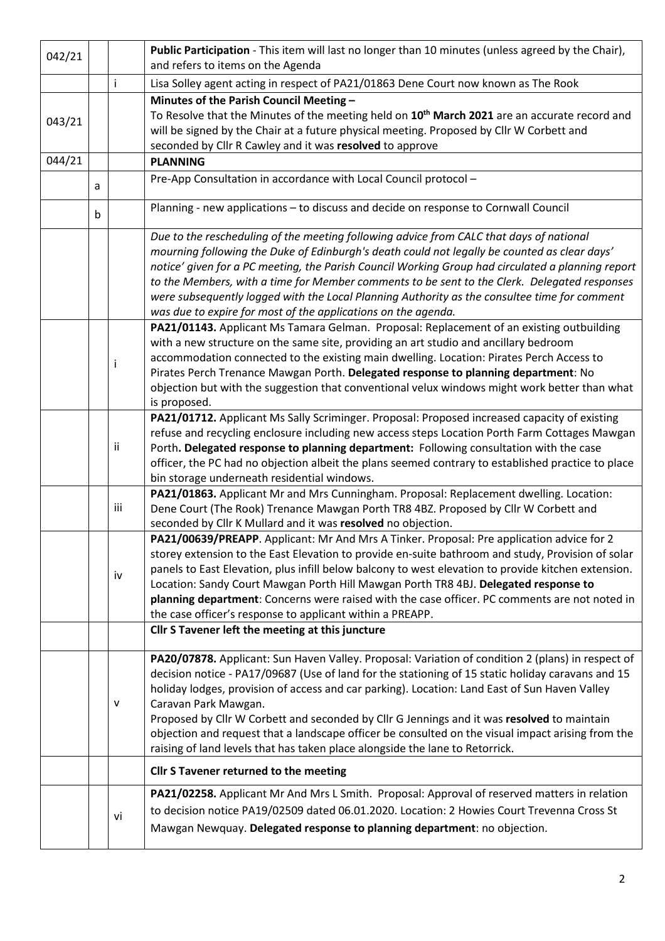| 042/21                                                                                    |                                                                                                                                                            |                                                                                            | Public Participation - This item will last no longer than 10 minutes (unless agreed by the Chair),<br>and refers to items on the Agenda                                          |  |  |  |  |  |
|-------------------------------------------------------------------------------------------|------------------------------------------------------------------------------------------------------------------------------------------------------------|--------------------------------------------------------------------------------------------|----------------------------------------------------------------------------------------------------------------------------------------------------------------------------------|--|--|--|--|--|
|                                                                                           |                                                                                                                                                            | Ť                                                                                          | Lisa Solley agent acting in respect of PA21/01863 Dene Court now known as The Rook                                                                                               |  |  |  |  |  |
|                                                                                           |                                                                                                                                                            |                                                                                            | Minutes of the Parish Council Meeting -                                                                                                                                          |  |  |  |  |  |
|                                                                                           |                                                                                                                                                            |                                                                                            | To Resolve that the Minutes of the meeting held on 10 <sup>th</sup> March 2021 are an accurate record and                                                                        |  |  |  |  |  |
| 043/21                                                                                    |                                                                                                                                                            |                                                                                            | will be signed by the Chair at a future physical meeting. Proposed by Cllr W Corbett and                                                                                         |  |  |  |  |  |
|                                                                                           |                                                                                                                                                            |                                                                                            | seconded by Cllr R Cawley and it was resolved to approve                                                                                                                         |  |  |  |  |  |
| 044/21                                                                                    |                                                                                                                                                            |                                                                                            | <b>PLANNING</b>                                                                                                                                                                  |  |  |  |  |  |
|                                                                                           | a                                                                                                                                                          |                                                                                            | Pre-App Consultation in accordance with Local Council protocol -                                                                                                                 |  |  |  |  |  |
|                                                                                           | b                                                                                                                                                          |                                                                                            | Planning - new applications - to discuss and decide on response to Cornwall Council                                                                                              |  |  |  |  |  |
|                                                                                           |                                                                                                                                                            |                                                                                            | Due to the rescheduling of the meeting following advice from CALC that days of national                                                                                          |  |  |  |  |  |
|                                                                                           |                                                                                                                                                            |                                                                                            | mourning following the Duke of Edinburgh's death could not legally be counted as clear days'                                                                                     |  |  |  |  |  |
|                                                                                           |                                                                                                                                                            |                                                                                            | notice' given for a PC meeting, the Parish Council Working Group had circulated a planning report                                                                                |  |  |  |  |  |
|                                                                                           |                                                                                                                                                            |                                                                                            | to the Members, with a time for Member comments to be sent to the Clerk. Delegated responses                                                                                     |  |  |  |  |  |
|                                                                                           |                                                                                                                                                            |                                                                                            | were subsequently logged with the Local Planning Authority as the consultee time for comment                                                                                     |  |  |  |  |  |
|                                                                                           |                                                                                                                                                            |                                                                                            | was due to expire for most of the applications on the agenda.                                                                                                                    |  |  |  |  |  |
|                                                                                           |                                                                                                                                                            |                                                                                            | PA21/01143. Applicant Ms Tamara Gelman. Proposal: Replacement of an existing outbuilding                                                                                         |  |  |  |  |  |
|                                                                                           |                                                                                                                                                            |                                                                                            | with a new structure on the same site, providing an art studio and ancillary bedroom<br>accommodation connected to the existing main dwelling. Location: Pirates Perch Access to |  |  |  |  |  |
|                                                                                           |                                                                                                                                                            |                                                                                            | Pirates Perch Trenance Mawgan Porth. Delegated response to planning department: No                                                                                               |  |  |  |  |  |
|                                                                                           |                                                                                                                                                            |                                                                                            | objection but with the suggestion that conventional velux windows might work better than what                                                                                    |  |  |  |  |  |
|                                                                                           |                                                                                                                                                            |                                                                                            | is proposed.                                                                                                                                                                     |  |  |  |  |  |
|                                                                                           |                                                                                                                                                            |                                                                                            | PA21/01712. Applicant Ms Sally Scriminger. Proposal: Proposed increased capacity of existing                                                                                     |  |  |  |  |  |
|                                                                                           |                                                                                                                                                            |                                                                                            | refuse and recycling enclosure including new access steps Location Porth Farm Cottages Mawgan                                                                                    |  |  |  |  |  |
|                                                                                           |                                                                                                                                                            | ii                                                                                         | Porth. Delegated response to planning department: Following consultation with the case                                                                                           |  |  |  |  |  |
|                                                                                           |                                                                                                                                                            |                                                                                            | officer, the PC had no objection albeit the plans seemed contrary to established practice to place                                                                               |  |  |  |  |  |
|                                                                                           |                                                                                                                                                            |                                                                                            | bin storage underneath residential windows.                                                                                                                                      |  |  |  |  |  |
|                                                                                           |                                                                                                                                                            |                                                                                            | PA21/01863. Applicant Mr and Mrs Cunningham. Proposal: Replacement dwelling. Location:                                                                                           |  |  |  |  |  |
|                                                                                           |                                                                                                                                                            | iii<br>Dene Court (The Rook) Trenance Mawgan Porth TR8 4BZ. Proposed by Cllr W Corbett and |                                                                                                                                                                                  |  |  |  |  |  |
|                                                                                           |                                                                                                                                                            |                                                                                            | seconded by Cllr K Mullard and it was resolved no objection.                                                                                                                     |  |  |  |  |  |
| PA21/00639/PREAPP. Applicant: Mr And Mrs A Tinker. Proposal: Pre application advice for 2 |                                                                                                                                                            |                                                                                            |                                                                                                                                                                                  |  |  |  |  |  |
|                                                                                           |                                                                                                                                                            |                                                                                            | storey extension to the East Elevation to provide en-suite bathroom and study, Provision of solar                                                                                |  |  |  |  |  |
|                                                                                           |                                                                                                                                                            | iv                                                                                         | panels to East Elevation, plus infill below balcony to west elevation to provide kitchen extension.                                                                              |  |  |  |  |  |
|                                                                                           |                                                                                                                                                            |                                                                                            | Location: Sandy Court Mawgan Porth Hill Mawgan Porth TR8 4BJ. Delegated response to                                                                                              |  |  |  |  |  |
|                                                                                           | planning department: Concerns were raised with the case officer. PC comments are not noted in<br>the case officer's response to applicant within a PREAPP. |                                                                                            |                                                                                                                                                                                  |  |  |  |  |  |
|                                                                                           | Cllr S Tavener left the meeting at this juncture                                                                                                           |                                                                                            |                                                                                                                                                                                  |  |  |  |  |  |
|                                                                                           |                                                                                                                                                            |                                                                                            |                                                                                                                                                                                  |  |  |  |  |  |
|                                                                                           |                                                                                                                                                            |                                                                                            | PA20/07878. Applicant: Sun Haven Valley. Proposal: Variation of condition 2 (plans) in respect of                                                                                |  |  |  |  |  |
|                                                                                           |                                                                                                                                                            |                                                                                            | decision notice - PA17/09687 (Use of land for the stationing of 15 static holiday caravans and 15                                                                                |  |  |  |  |  |
|                                                                                           |                                                                                                                                                            |                                                                                            | holiday lodges, provision of access and car parking). Location: Land East of Sun Haven Valley                                                                                    |  |  |  |  |  |
|                                                                                           |                                                                                                                                                            | v                                                                                          | Caravan Park Mawgan.                                                                                                                                                             |  |  |  |  |  |
|                                                                                           |                                                                                                                                                            |                                                                                            | Proposed by Cllr W Corbett and seconded by Cllr G Jennings and it was resolved to maintain                                                                                       |  |  |  |  |  |
|                                                                                           |                                                                                                                                                            |                                                                                            | objection and request that a landscape officer be consulted on the visual impact arising from the                                                                                |  |  |  |  |  |
|                                                                                           |                                                                                                                                                            |                                                                                            | raising of land levels that has taken place alongside the lane to Retorrick.                                                                                                     |  |  |  |  |  |
|                                                                                           |                                                                                                                                                            |                                                                                            | Cllr S Tavener returned to the meeting                                                                                                                                           |  |  |  |  |  |
|                                                                                           |                                                                                                                                                            |                                                                                            | PA21/02258. Applicant Mr And Mrs L Smith. Proposal: Approval of reserved matters in relation                                                                                     |  |  |  |  |  |
|                                                                                           |                                                                                                                                                            | vi                                                                                         | to decision notice PA19/02509 dated 06.01.2020. Location: 2 Howies Court Trevenna Cross St                                                                                       |  |  |  |  |  |
|                                                                                           |                                                                                                                                                            |                                                                                            | Mawgan Newquay. Delegated response to planning department: no objection.                                                                                                         |  |  |  |  |  |
|                                                                                           |                                                                                                                                                            |                                                                                            |                                                                                                                                                                                  |  |  |  |  |  |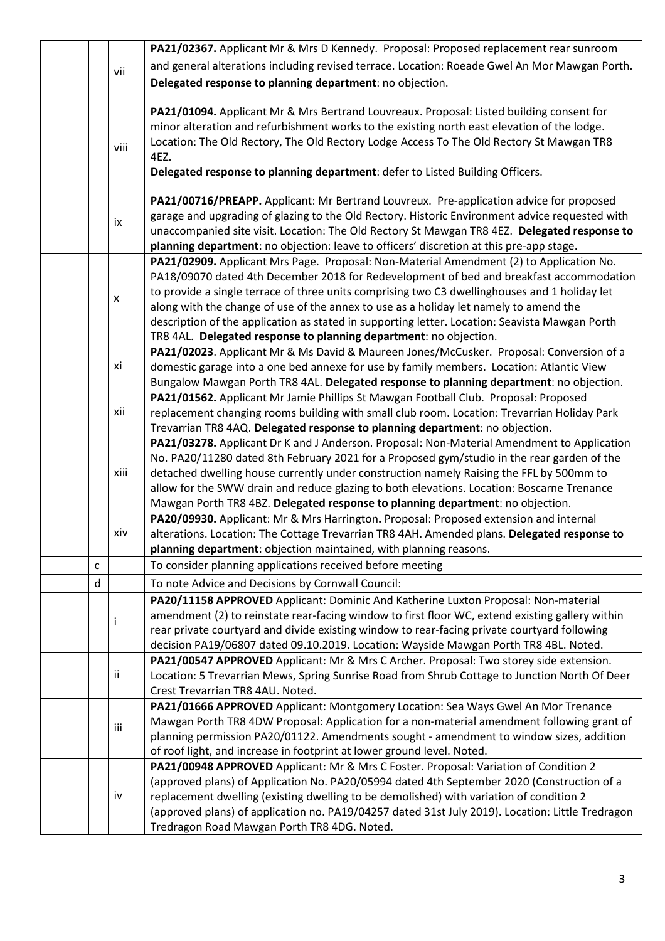|     |    |      | PA21/02367. Applicant Mr & Mrs D Kennedy. Proposal: Proposed replacement rear sunroom                                                                                                                                                                                                                                                                                        |  |  |  |
|-----|----|------|------------------------------------------------------------------------------------------------------------------------------------------------------------------------------------------------------------------------------------------------------------------------------------------------------------------------------------------------------------------------------|--|--|--|
| vii |    |      | and general alterations including revised terrace. Location: Roeade Gwel An Mor Mawgan Porth.                                                                                                                                                                                                                                                                                |  |  |  |
|     |    |      | Delegated response to planning department: no objection.                                                                                                                                                                                                                                                                                                                     |  |  |  |
|     |    |      |                                                                                                                                                                                                                                                                                                                                                                              |  |  |  |
|     |    | viii | PA21/01094. Applicant Mr & Mrs Bertrand Louvreaux. Proposal: Listed building consent for<br>minor alteration and refurbishment works to the existing north east elevation of the lodge.<br>Location: The Old Rectory, The Old Rectory Lodge Access To The Old Rectory St Mawgan TR8<br>4EZ.<br>Delegated response to planning department: defer to Listed Building Officers. |  |  |  |
|     |    |      | PA21/00716/PREAPP. Applicant: Mr Bertrand Louvreux. Pre-application advice for proposed                                                                                                                                                                                                                                                                                      |  |  |  |
|     |    | ix   | garage and upgrading of glazing to the Old Rectory. Historic Environment advice requested with                                                                                                                                                                                                                                                                               |  |  |  |
|     |    |      | unaccompanied site visit. Location: The Old Rectory St Mawgan TR8 4EZ. Delegated response to                                                                                                                                                                                                                                                                                 |  |  |  |
|     |    |      | planning department: no objection: leave to officers' discretion at this pre-app stage.                                                                                                                                                                                                                                                                                      |  |  |  |
|     |    |      | PA21/02909. Applicant Mrs Page. Proposal: Non-Material Amendment (2) to Application No.                                                                                                                                                                                                                                                                                      |  |  |  |
|     |    |      | PA18/09070 dated 4th December 2018 for Redevelopment of bed and breakfast accommodation                                                                                                                                                                                                                                                                                      |  |  |  |
|     |    | X    | to provide a single terrace of three units comprising two C3 dwellinghouses and 1 holiday let                                                                                                                                                                                                                                                                                |  |  |  |
|     |    |      | along with the change of use of the annex to use as a holiday let namely to amend the                                                                                                                                                                                                                                                                                        |  |  |  |
|     |    |      | description of the application as stated in supporting letter. Location: Seavista Mawgan Porth                                                                                                                                                                                                                                                                               |  |  |  |
|     |    |      | TR8 4AL. Delegated response to planning department: no objection.                                                                                                                                                                                                                                                                                                            |  |  |  |
|     |    |      | PA21/02023. Applicant Mr & Ms David & Maureen Jones/McCusker. Proposal: Conversion of a                                                                                                                                                                                                                                                                                      |  |  |  |
|     |    | xi   | domestic garage into a one bed annexe for use by family members. Location: Atlantic View                                                                                                                                                                                                                                                                                     |  |  |  |
|     |    |      | Bungalow Mawgan Porth TR8 4AL. Delegated response to planning department: no objection.                                                                                                                                                                                                                                                                                      |  |  |  |
|     |    | xii  | PA21/01562. Applicant Mr Jamie Phillips St Mawgan Football Club. Proposal: Proposed                                                                                                                                                                                                                                                                                          |  |  |  |
|     |    |      | replacement changing rooms building with small club room. Location: Trevarrian Holiday Park<br>Trevarrian TR8 4AQ. Delegated response to planning department: no objection.                                                                                                                                                                                                  |  |  |  |
|     |    |      | PA21/03278. Applicant Dr K and J Anderson. Proposal: Non-Material Amendment to Application                                                                                                                                                                                                                                                                                   |  |  |  |
|     |    |      | No. PA20/11280 dated 8th February 2021 for a Proposed gym/studio in the rear garden of the                                                                                                                                                                                                                                                                                   |  |  |  |
|     |    | xiii | detached dwelling house currently under construction namely Raising the FFL by 500mm to                                                                                                                                                                                                                                                                                      |  |  |  |
|     |    |      | allow for the SWW drain and reduce glazing to both elevations. Location: Boscarne Trenance                                                                                                                                                                                                                                                                                   |  |  |  |
|     |    |      | Mawgan Porth TR8 4BZ. Delegated response to planning department: no objection.                                                                                                                                                                                                                                                                                               |  |  |  |
|     |    |      | PA20/09930. Applicant: Mr & Mrs Harrington. Proposal: Proposed extension and internal                                                                                                                                                                                                                                                                                        |  |  |  |
|     |    | xiv  | alterations. Location: The Cottage Trevarrian TR8 4AH. Amended plans. Delegated response to                                                                                                                                                                                                                                                                                  |  |  |  |
|     |    |      | planning department: objection maintained, with planning reasons.                                                                                                                                                                                                                                                                                                            |  |  |  |
|     | C  |      | To consider planning applications received before meeting                                                                                                                                                                                                                                                                                                                    |  |  |  |
|     | d  |      | To note Advice and Decisions by Cornwall Council:                                                                                                                                                                                                                                                                                                                            |  |  |  |
|     |    |      | PA20/11158 APPROVED Applicant: Dominic And Katherine Luxton Proposal: Non-material                                                                                                                                                                                                                                                                                           |  |  |  |
|     |    |      | amendment (2) to reinstate rear-facing window to first floor WC, extend existing gallery within                                                                                                                                                                                                                                                                              |  |  |  |
|     |    | Ť    | rear private courtyard and divide existing window to rear-facing private courtyard following                                                                                                                                                                                                                                                                                 |  |  |  |
|     |    |      | decision PA19/06807 dated 09.10.2019. Location: Wayside Mawgan Porth TR8 4BL. Noted.                                                                                                                                                                                                                                                                                         |  |  |  |
|     |    |      | PA21/00547 APPROVED Applicant: Mr & Mrs C Archer. Proposal: Two storey side extension.                                                                                                                                                                                                                                                                                       |  |  |  |
|     | ii |      | Location: 5 Trevarrian Mews, Spring Sunrise Road from Shrub Cottage to Junction North Of Deer                                                                                                                                                                                                                                                                                |  |  |  |
|     |    |      | Crest Trevarrian TR8 4AU. Noted.                                                                                                                                                                                                                                                                                                                                             |  |  |  |
|     |    |      | PA21/01666 APPROVED Applicant: Montgomery Location: Sea Ways Gwel An Mor Trenance                                                                                                                                                                                                                                                                                            |  |  |  |
|     |    | iii  | Mawgan Porth TR8 4DW Proposal: Application for a non-material amendment following grant of                                                                                                                                                                                                                                                                                   |  |  |  |
|     |    |      | planning permission PA20/01122. Amendments sought - amendment to window sizes, addition                                                                                                                                                                                                                                                                                      |  |  |  |
|     |    |      | of roof light, and increase in footprint at lower ground level. Noted.                                                                                                                                                                                                                                                                                                       |  |  |  |
|     |    |      | PA21/00948 APPROVED Applicant: Mr & Mrs C Foster. Proposal: Variation of Condition 2                                                                                                                                                                                                                                                                                         |  |  |  |
|     |    |      | (approved plans) of Application No. PA20/05994 dated 4th September 2020 (Construction of a                                                                                                                                                                                                                                                                                   |  |  |  |
|     |    | iv   | replacement dwelling (existing dwelling to be demolished) with variation of condition 2                                                                                                                                                                                                                                                                                      |  |  |  |
|     |    |      | (approved plans) of application no. PA19/04257 dated 31st July 2019). Location: Little Tredragon                                                                                                                                                                                                                                                                             |  |  |  |
|     |    |      | Tredragon Road Mawgan Porth TR8 4DG. Noted.                                                                                                                                                                                                                                                                                                                                  |  |  |  |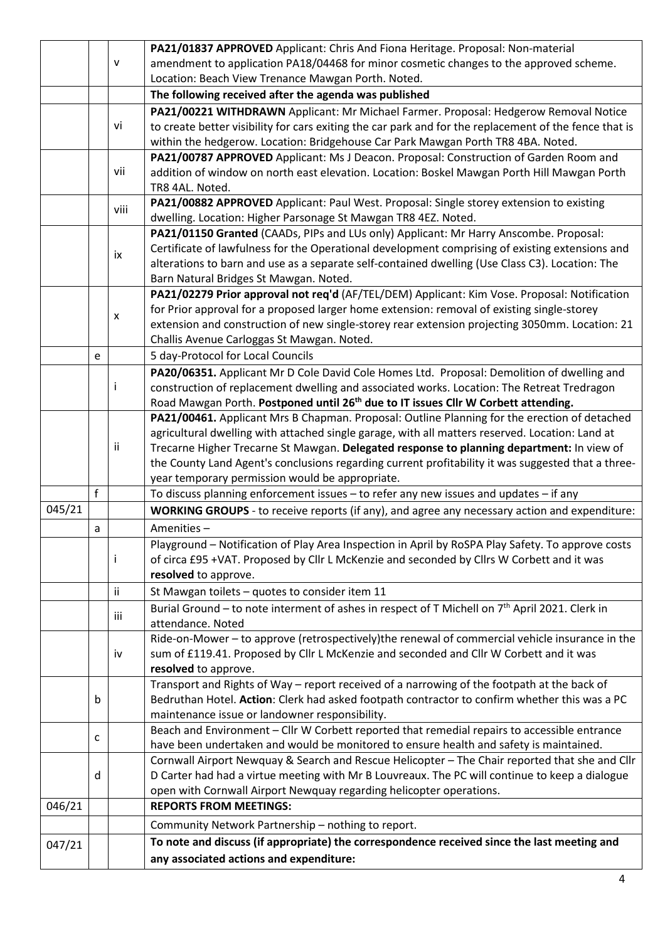|        |                                                                                             |                                                                                              | PA21/01837 APPROVED Applicant: Chris And Fiona Heritage. Proposal: Non-material                            |  |  |  |  |  |
|--------|---------------------------------------------------------------------------------------------|----------------------------------------------------------------------------------------------|------------------------------------------------------------------------------------------------------------|--|--|--|--|--|
|        |                                                                                             | $\mathsf{V}$                                                                                 | amendment to application PA18/04468 for minor cosmetic changes to the approved scheme.                     |  |  |  |  |  |
|        |                                                                                             |                                                                                              | Location: Beach View Trenance Mawgan Porth. Noted.                                                         |  |  |  |  |  |
|        |                                                                                             |                                                                                              | The following received after the agenda was published                                                      |  |  |  |  |  |
|        |                                                                                             |                                                                                              | PA21/00221 WITHDRAWN Applicant: Mr Michael Farmer. Proposal: Hedgerow Removal Notice                       |  |  |  |  |  |
|        |                                                                                             | vi                                                                                           | to create better visibility for cars exiting the car park and for the replacement of the fence that is     |  |  |  |  |  |
|        |                                                                                             |                                                                                              | within the hedgerow. Location: Bridgehouse Car Park Mawgan Porth TR8 4BA. Noted.                           |  |  |  |  |  |
|        |                                                                                             |                                                                                              | PA21/00787 APPROVED Applicant: Ms J Deacon. Proposal: Construction of Garden Room and                      |  |  |  |  |  |
|        | addition of window on north east elevation. Location: Boskel Mawgan Porth Hill Mawgan Porth |                                                                                              |                                                                                                            |  |  |  |  |  |
|        |                                                                                             |                                                                                              | TR8 4AL. Noted.                                                                                            |  |  |  |  |  |
|        |                                                                                             | viii                                                                                         | PA21/00882 APPROVED Applicant: Paul West. Proposal: Single storey extension to existing                    |  |  |  |  |  |
|        |                                                                                             |                                                                                              | dwelling. Location: Higher Parsonage St Mawgan TR8 4EZ. Noted.                                             |  |  |  |  |  |
|        |                                                                                             |                                                                                              | PA21/01150 Granted (CAADs, PIPs and LUs only) Applicant: Mr Harry Anscombe. Proposal:                      |  |  |  |  |  |
|        |                                                                                             |                                                                                              | Certificate of lawfulness for the Operational development comprising of existing extensions and            |  |  |  |  |  |
|        |                                                                                             | ix                                                                                           | alterations to barn and use as a separate self-contained dwelling (Use Class C3). Location: The            |  |  |  |  |  |
|        |                                                                                             |                                                                                              | Barn Natural Bridges St Mawgan. Noted.                                                                     |  |  |  |  |  |
|        |                                                                                             | PA21/02279 Prior approval not req'd (AF/TEL/DEM) Applicant: Kim Vose. Proposal: Notification |                                                                                                            |  |  |  |  |  |
|        |                                                                                             |                                                                                              | for Prior approval for a proposed larger home extension: removal of existing single-storey                 |  |  |  |  |  |
|        |                                                                                             | $\pmb{\mathsf{x}}$                                                                           | extension and construction of new single-storey rear extension projecting 3050mm. Location: 21             |  |  |  |  |  |
|        |                                                                                             |                                                                                              | Challis Avenue Carloggas St Mawgan. Noted.                                                                 |  |  |  |  |  |
|        | e                                                                                           |                                                                                              | 5 day-Protocol for Local Councils                                                                          |  |  |  |  |  |
|        |                                                                                             |                                                                                              | PA20/06351. Applicant Mr D Cole David Cole Homes Ltd. Proposal: Demolition of dwelling and                 |  |  |  |  |  |
|        |                                                                                             | Ť                                                                                            | construction of replacement dwelling and associated works. Location: The Retreat Tredragon                 |  |  |  |  |  |
|        |                                                                                             |                                                                                              | Road Mawgan Porth. Postponed until 26 <sup>th</sup> due to IT issues Cllr W Corbett attending.             |  |  |  |  |  |
|        |                                                                                             |                                                                                              | PA21/00461. Applicant Mrs B Chapman. Proposal: Outline Planning for the erection of detached               |  |  |  |  |  |
|        |                                                                                             |                                                                                              | agricultural dwelling with attached single garage, with all matters reserved. Location: Land at            |  |  |  |  |  |
| ii     |                                                                                             |                                                                                              | Trecarne Higher Trecarne St Mawgan. Delegated response to planning department: In view of                  |  |  |  |  |  |
|        |                                                                                             |                                                                                              | the County Land Agent's conclusions regarding current profitability it was suggested that a three-         |  |  |  |  |  |
|        |                                                                                             |                                                                                              | year temporary permission would be appropriate.                                                            |  |  |  |  |  |
|        | f                                                                                           |                                                                                              | To discuss planning enforcement issues $-$ to refer any new issues and updates $-$ if any                  |  |  |  |  |  |
| 045/21 |                                                                                             |                                                                                              | WORKING GROUPS - to receive reports (if any), and agree any necessary action and expenditure:              |  |  |  |  |  |
|        | a                                                                                           |                                                                                              | Amenities-                                                                                                 |  |  |  |  |  |
|        |                                                                                             |                                                                                              | Playground – Notification of Play Area Inspection in April by RoSPA Play Safety. To approve costs          |  |  |  |  |  |
|        |                                                                                             | Ť                                                                                            | of circa £95 +VAT. Proposed by Cllr L McKenzie and seconded by Cllrs W Corbett and it was                  |  |  |  |  |  |
|        |                                                                                             |                                                                                              | resolved to approve.                                                                                       |  |  |  |  |  |
|        |                                                                                             | ii                                                                                           | St Mawgan toilets - quotes to consider item 11                                                             |  |  |  |  |  |
|        |                                                                                             |                                                                                              | Burial Ground - to note interment of ashes in respect of T Michell on 7 <sup>th</sup> April 2021. Clerk in |  |  |  |  |  |
|        |                                                                                             | iii                                                                                          | attendance. Noted                                                                                          |  |  |  |  |  |
|        |                                                                                             |                                                                                              | Ride-on-Mower - to approve (retrospectively) the renewal of commercial vehicle insurance in the            |  |  |  |  |  |
|        | iv                                                                                          |                                                                                              | sum of £119.41. Proposed by Cllr L McKenzie and seconded and Cllr W Corbett and it was                     |  |  |  |  |  |
|        |                                                                                             |                                                                                              | resolved to approve.                                                                                       |  |  |  |  |  |
|        |                                                                                             |                                                                                              | Transport and Rights of Way - report received of a narrowing of the footpath at the back of                |  |  |  |  |  |
|        | b                                                                                           |                                                                                              | Bedruthan Hotel. Action: Clerk had asked footpath contractor to confirm whether this was a PC              |  |  |  |  |  |
|        |                                                                                             |                                                                                              | maintenance issue or landowner responsibility.                                                             |  |  |  |  |  |
|        |                                                                                             |                                                                                              | Beach and Environment - Cllr W Corbett reported that remedial repairs to accessible entrance               |  |  |  |  |  |
|        | c                                                                                           |                                                                                              | have been undertaken and would be monitored to ensure health and safety is maintained.                     |  |  |  |  |  |
|        |                                                                                             |                                                                                              | Cornwall Airport Newquay & Search and Rescue Helicopter - The Chair reported that she and Cllr             |  |  |  |  |  |
|        | d                                                                                           |                                                                                              | D Carter had had a virtue meeting with Mr B Louvreaux. The PC will continue to keep a dialogue             |  |  |  |  |  |
|        |                                                                                             |                                                                                              | open with Cornwall Airport Newquay regarding helicopter operations.                                        |  |  |  |  |  |
| 046/21 |                                                                                             |                                                                                              | <b>REPORTS FROM MEETINGS:</b>                                                                              |  |  |  |  |  |
|        |                                                                                             |                                                                                              | Community Network Partnership - nothing to report.                                                         |  |  |  |  |  |
| 047/21 |                                                                                             |                                                                                              | To note and discuss (if appropriate) the correspondence received since the last meeting and                |  |  |  |  |  |
|        | any associated actions and expenditure:                                                     |                                                                                              |                                                                                                            |  |  |  |  |  |
|        |                                                                                             |                                                                                              |                                                                                                            |  |  |  |  |  |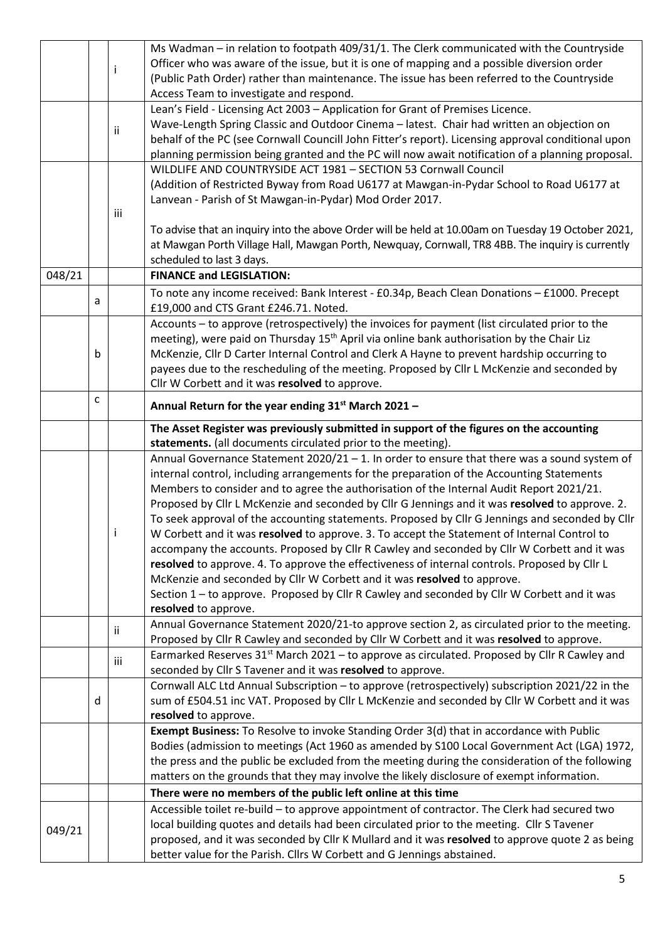|        |   |                                                                                                                                                                                           | Ms Wadman - in relation to footpath 409/31/1. The Clerk communicated with the Countryside                                                                                 |  |  |  |  |  |
|--------|---|-------------------------------------------------------------------------------------------------------------------------------------------------------------------------------------------|---------------------------------------------------------------------------------------------------------------------------------------------------------------------------|--|--|--|--|--|
|        |   |                                                                                                                                                                                           | Officer who was aware of the issue, but it is one of mapping and a possible diversion order                                                                               |  |  |  |  |  |
|        |   |                                                                                                                                                                                           | (Public Path Order) rather than maintenance. The issue has been referred to the Countryside                                                                               |  |  |  |  |  |
|        |   |                                                                                                                                                                                           | Access Team to investigate and respond.                                                                                                                                   |  |  |  |  |  |
|        |   |                                                                                                                                                                                           | Lean's Field - Licensing Act 2003 - Application for Grant of Premises Licence.                                                                                            |  |  |  |  |  |
|        |   |                                                                                                                                                                                           | Wave-Length Spring Classic and Outdoor Cinema - latest. Chair had written an objection on                                                                                 |  |  |  |  |  |
|        |   | ii                                                                                                                                                                                        | behalf of the PC (see Cornwall Councill John Fitter's report). Licensing approval conditional upon                                                                        |  |  |  |  |  |
|        |   |                                                                                                                                                                                           | planning permission being granted and the PC will now await notification of a planning proposal.                                                                          |  |  |  |  |  |
|        |   |                                                                                                                                                                                           | WILDLIFE AND COUNTRYSIDE ACT 1981 - SECTION 53 Cornwall Council                                                                                                           |  |  |  |  |  |
|        |   |                                                                                                                                                                                           |                                                                                                                                                                           |  |  |  |  |  |
|        |   |                                                                                                                                                                                           | (Addition of Restricted Byway from Road U6177 at Mawgan-in-Pydar School to Road U6177 at                                                                                  |  |  |  |  |  |
|        |   |                                                                                                                                                                                           | Lanvean - Parish of St Mawgan-in-Pydar) Mod Order 2017.                                                                                                                   |  |  |  |  |  |
|        |   | iii                                                                                                                                                                                       |                                                                                                                                                                           |  |  |  |  |  |
|        |   |                                                                                                                                                                                           | To advise that an inquiry into the above Order will be held at 10.00am on Tuesday 19 October 2021,                                                                        |  |  |  |  |  |
|        |   |                                                                                                                                                                                           | at Mawgan Porth Village Hall, Mawgan Porth, Newquay, Cornwall, TR8 4BB. The inquiry is currently                                                                          |  |  |  |  |  |
|        |   |                                                                                                                                                                                           | scheduled to last 3 days.                                                                                                                                                 |  |  |  |  |  |
| 048/21 |   |                                                                                                                                                                                           | <b>FINANCE and LEGISLATION:</b>                                                                                                                                           |  |  |  |  |  |
|        |   |                                                                                                                                                                                           | To note any income received: Bank Interest - £0.34p, Beach Clean Donations - £1000. Precept                                                                               |  |  |  |  |  |
|        | a |                                                                                                                                                                                           | £19,000 and CTS Grant £246.71. Noted.                                                                                                                                     |  |  |  |  |  |
|        |   |                                                                                                                                                                                           | Accounts - to approve (retrospectively) the invoices for payment (list circulated prior to the                                                                            |  |  |  |  |  |
|        |   |                                                                                                                                                                                           | meeting), were paid on Thursday 15 <sup>th</sup> April via online bank authorisation by the Chair Liz                                                                     |  |  |  |  |  |
|        | b |                                                                                                                                                                                           | McKenzie, Cllr D Carter Internal Control and Clerk A Hayne to prevent hardship occurring to                                                                               |  |  |  |  |  |
|        |   |                                                                                                                                                                                           | payees due to the rescheduling of the meeting. Proposed by Cllr L McKenzie and seconded by                                                                                |  |  |  |  |  |
|        |   |                                                                                                                                                                                           |                                                                                                                                                                           |  |  |  |  |  |
|        |   |                                                                                                                                                                                           | Cllr W Corbett and it was resolved to approve.                                                                                                                            |  |  |  |  |  |
|        | С |                                                                                                                                                                                           | Annual Return for the year ending 31 <sup>st</sup> March 2021 -                                                                                                           |  |  |  |  |  |
|        |   |                                                                                                                                                                                           | The Asset Register was previously submitted in support of the figures on the accounting                                                                                   |  |  |  |  |  |
|        |   |                                                                                                                                                                                           | statements. (all documents circulated prior to the meeting).                                                                                                              |  |  |  |  |  |
|        |   | Annual Governance Statement 2020/21 - 1. In order to ensure that there was a sound system of<br>internal control, including arrangements for the preparation of the Accounting Statements |                                                                                                                                                                           |  |  |  |  |  |
|        |   |                                                                                                                                                                                           |                                                                                                                                                                           |  |  |  |  |  |
|        |   |                                                                                                                                                                                           | Members to consider and to agree the authorisation of the Internal Audit Report 2021/21.                                                                                  |  |  |  |  |  |
|        |   |                                                                                                                                                                                           | Proposed by Cllr L McKenzie and seconded by Cllr G Jennings and it was resolved to approve. 2.                                                                            |  |  |  |  |  |
|        |   |                                                                                                                                                                                           | To seek approval of the accounting statements. Proposed by Cllr G Jennings and seconded by Cllr                                                                           |  |  |  |  |  |
|        |   |                                                                                                                                                                                           | W Corbett and it was resolved to approve. 3. To accept the Statement of Internal Control to                                                                               |  |  |  |  |  |
|        |   |                                                                                                                                                                                           |                                                                                                                                                                           |  |  |  |  |  |
|        |   |                                                                                                                                                                                           |                                                                                                                                                                           |  |  |  |  |  |
|        |   |                                                                                                                                                                                           | accompany the accounts. Proposed by Cllr R Cawley and seconded by Cllr W Corbett and it was                                                                               |  |  |  |  |  |
|        |   |                                                                                                                                                                                           | resolved to approve. 4. To approve the effectiveness of internal controls. Proposed by Cllr L                                                                             |  |  |  |  |  |
|        |   |                                                                                                                                                                                           | McKenzie and seconded by Cllr W Corbett and it was resolved to approve.                                                                                                   |  |  |  |  |  |
|        |   |                                                                                                                                                                                           | Section 1-to approve. Proposed by Cllr R Cawley and seconded by Cllr W Corbett and it was                                                                                 |  |  |  |  |  |
|        |   |                                                                                                                                                                                           | resolved to approve.                                                                                                                                                      |  |  |  |  |  |
|        |   | ii                                                                                                                                                                                        | Annual Governance Statement 2020/21-to approve section 2, as circulated prior to the meeting.                                                                             |  |  |  |  |  |
|        |   |                                                                                                                                                                                           | Proposed by Cllr R Cawley and seconded by Cllr W Corbett and it was resolved to approve.                                                                                  |  |  |  |  |  |
|        |   | iii                                                                                                                                                                                       | Earmarked Reserves 31 <sup>st</sup> March 2021 - to approve as circulated. Proposed by Cllr R Cawley and                                                                  |  |  |  |  |  |
|        |   |                                                                                                                                                                                           | seconded by Cllr S Tavener and it was resolved to approve.                                                                                                                |  |  |  |  |  |
|        |   |                                                                                                                                                                                           | Cornwall ALC Ltd Annual Subscription - to approve (retrospectively) subscription 2021/22 in the                                                                           |  |  |  |  |  |
|        | d |                                                                                                                                                                                           | sum of £504.51 inc VAT. Proposed by Cllr L McKenzie and seconded by Cllr W Corbett and it was                                                                             |  |  |  |  |  |
|        |   |                                                                                                                                                                                           | resolved to approve.                                                                                                                                                      |  |  |  |  |  |
|        |   |                                                                                                                                                                                           | Exempt Business: To Resolve to invoke Standing Order 3(d) that in accordance with Public                                                                                  |  |  |  |  |  |
|        |   |                                                                                                                                                                                           | Bodies (admission to meetings (Act 1960 as amended by S100 Local Government Act (LGA) 1972,                                                                               |  |  |  |  |  |
|        |   |                                                                                                                                                                                           | the press and the public be excluded from the meeting during the consideration of the following                                                                           |  |  |  |  |  |
|        |   |                                                                                                                                                                                           | matters on the grounds that they may involve the likely disclosure of exempt information.                                                                                 |  |  |  |  |  |
|        |   |                                                                                                                                                                                           | There were no members of the public left online at this time                                                                                                              |  |  |  |  |  |
|        |   |                                                                                                                                                                                           |                                                                                                                                                                           |  |  |  |  |  |
|        |   |                                                                                                                                                                                           | Accessible toilet re-build - to approve appointment of contractor. The Clerk had secured two                                                                              |  |  |  |  |  |
| 049/21 |   |                                                                                                                                                                                           | local building quotes and details had been circulated prior to the meeting. Cllr S Tavener                                                                                |  |  |  |  |  |
|        |   |                                                                                                                                                                                           | proposed, and it was seconded by Cllr K Mullard and it was resolved to approve quote 2 as being<br>better value for the Parish. Cllrs W Corbett and G Jennings abstained. |  |  |  |  |  |